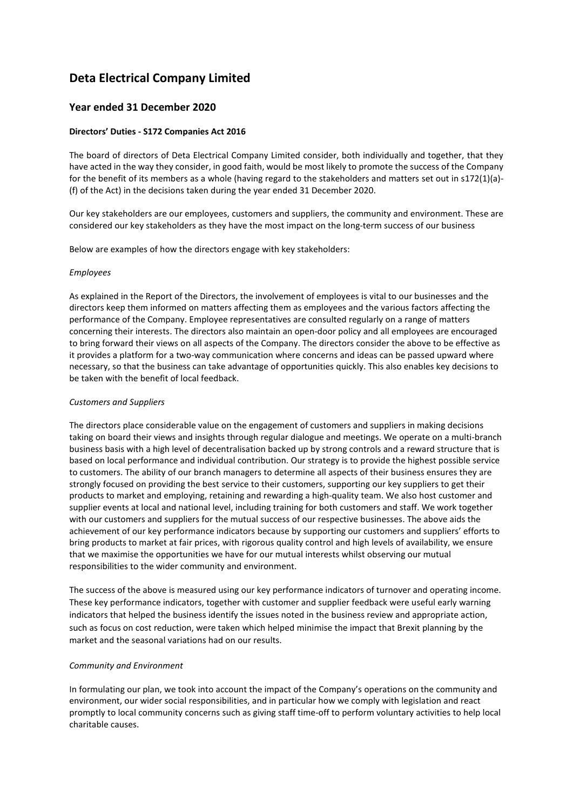# **Deta Electrical Company Limited**

# **Year ended 31 December 2020**

# **Directors' Duties - S172 Companies Act 2016**

The board of directors of Deta Electrical Company Limited consider, both individually and together, that they have acted in the way they consider, in good faith, would be most likely to promote the success of the Company for the benefit of its members as a whole (having regard to the stakeholders and matters set out in s172(1)(a)- (f) of the Act) in the decisions taken during the year ended 31 December 2020.

Our key stakeholders are our employees, customers and suppliers, the community and environment. These are considered our key stakeholders as they have the most impact on the long-term success of our business

Below are examples of how the directors engage with key stakeholders:

#### *Employees*

As explained in the Report of the Directors, the involvement of employees is vital to our businesses and the directors keep them informed on matters affecting them as employees and the various factors affecting the performance of the Company. Employee representatives are consulted regularly on a range of matters concerning their interests. The directors also maintain an open-door policy and all employees are encouraged to bring forward their views on all aspects of the Company. The directors consider the above to be effective as it provides a platform for a two-way communication where concerns and ideas can be passed upward where necessary, so that the business can take advantage of opportunities quickly. This also enables key decisions to be taken with the benefit of local feedback.

## *Customers and Suppliers*

The directors place considerable value on the engagement of customers and suppliers in making decisions taking on board their views and insights through regular dialogue and meetings. We operate on a multi-branch business basis with a high level of decentralisation backed up by strong controls and a reward structure that is based on local performance and individual contribution. Our strategy is to provide the highest possible service to customers. The ability of our branch managers to determine all aspects of their business ensures they are strongly focused on providing the best service to their customers, supporting our key suppliers to get their products to market and employing, retaining and rewarding a high-quality team. We also host customer and supplier events at local and national level, including training for both customers and staff. We work together with our customers and suppliers for the mutual success of our respective businesses. The above aids the achievement of our key performance indicators because by supporting our customers and suppliers' efforts to bring products to market at fair prices, with rigorous quality control and high levels of availability, we ensure that we maximise the opportunities we have for our mutual interests whilst observing our mutual responsibilities to the wider community and environment.

The success of the above is measured using our key performance indicators of turnover and operating income. These key performance indicators, together with customer and supplier feedback were useful early warning indicators that helped the business identify the issues noted in the business review and appropriate action, such as focus on cost reduction, were taken which helped minimise the impact that Brexit planning by the market and the seasonal variations had on our results.

## *Community and Environment*

In formulating our plan, we took into account the impact of the Company's operations on the community and environment, our wider social responsibilities, and in particular how we comply with legislation and react promptly to local community concerns such as giving staff time-off to perform voluntary activities to help local charitable causes.